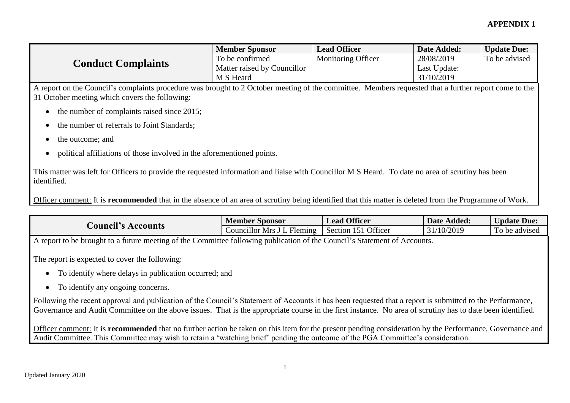## **APPENDIX 1**

| <b>Conduct Complaints</b> | <b>Member Sponsor</b>       | <b>Lead Officer</b>       | Date Added:  | <b>Update Due:</b> |
|---------------------------|-----------------------------|---------------------------|--------------|--------------------|
|                           | To be confirmed             | <b>Monitoring Officer</b> | 28/08/2019   | To be advised      |
|                           | Matter raised by Councillor |                           | Last Update: |                    |
|                           | M S Heard                   |                           | 31/10/2019   |                    |

A report on the Council's complaints procedure was brought to 2 October meeting of the committee. Members requested that a further report come to the 31 October meeting which covers the following:

- $\bullet$  the number of complaints raised since 2015;
- the number of referrals to Joint Standards;
- the outcome; and
- political affiliations of those involved in the aforementioned points.

This matter was left for Officers to provide the requested information and liaise with Councillor M S Heard. To date no area of scrutiny has been identified.

Officer comment: It is **recommended** that in the absence of an area of scrutiny being identified that this matter is deleted from the Programme of Work.

| $• - $<br>Accounts<br>Douncil | - -<br>Member Sponsor        | <b>Officer</b><br>Lead              | Added:<br>Date <b>D</b>      | <b>Jpdate Due:</b>                          |
|-------------------------------|------------------------------|-------------------------------------|------------------------------|---------------------------------------------|
|                               | . ouncillor<br>Mrs<br>Heming | Officer<br>$\sim$ $\sim$<br>Section | /10/2019<br>$\sim$ 1<br>تد ب | $\mathbf{r}$<br>be advised<br>$\sim$<br>. v |

A report to be brought to a future meeting of the Committee following publication of the Council's Statement of Accounts.

The report is expected to cover the following:

- To identify where delays in publication occurred; and
- To identify any ongoing concerns.

Following the recent approval and publication of the Council's Statement of Accounts it has been requested that a report is submitted to the Performance, Governance and Audit Committee on the above issues. That is the appropriate course in the first instance. No area of scrutiny has to date been identified.

Officer comment: It is **recommended** that no further action be taken on this item for the present pending consideration by the Performance, Governance and Audit Committee. This Committee may wish to retain a 'watching brief' pending the outcome of the PGA Committee's consideration.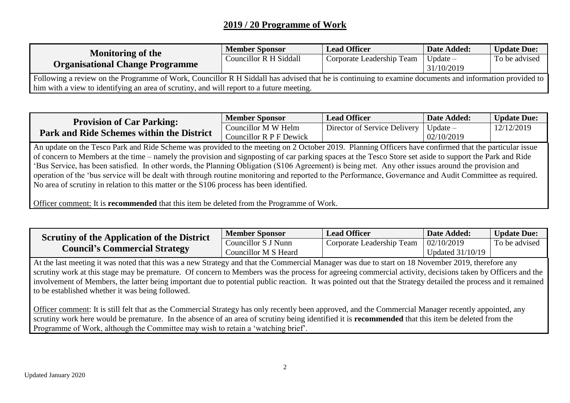## **2019 / 20 Programme of Work**

| <b>Monitoring of the</b><br><b>Organisational Change Programme</b>                                                                                     | <b>Member Sponsor</b>  | <b>Lead Officer</b>       | Date Added: | <b>Update Due:</b> |  |
|--------------------------------------------------------------------------------------------------------------------------------------------------------|------------------------|---------------------------|-------------|--------------------|--|
|                                                                                                                                                        | Councillor R H Siddall | Corporate Leadership Team | Update $-$  | To be advised      |  |
|                                                                                                                                                        |                        |                           | 31/10/2019  |                    |  |
| Following a review on the Programme of Work, Councillor R H Siddall has advised that he is continuing to examine documents and information provided to |                        |                           |             |                    |  |
| him with a view to identifying an area of scrutiny, and will report to a future meeting.                                                               |                        |                           |             |                    |  |

| <b>Provision of Car Parking:</b><br><b>Park and Ride Schemes within the District</b> | <b>Member Sponsor</b>                          | <b>Lead Officer</b>          | Date Added:              | <b>Update Due:</b> |
|--------------------------------------------------------------------------------------|------------------------------------------------|------------------------------|--------------------------|--------------------|
|                                                                                      | Councillor M W Helm<br>Councillor R P F Dewick | Director of Service Delivery | Update $-$<br>02/10/2019 | 12/12/2019         |

An update on the Tesco Park and Ride Scheme was provided to the meeting on 2 October 2019. Planning Officers have confirmed that the particular issue of concern to Members at the time – namely the provision and signposting of car parking spaces at the Tesco Store set aside to support the Park and Ride 'Bus Service, has been satisfied. In other words, the Planning Obligation (S106 Agreement) is being met. Any other issues around the provision and operation of the 'bus service will be dealt with through routine monitoring and reported to the Performance, Governance and Audit Committee as required. No area of scrutiny in relation to this matter or the S106 process has been identified.

Officer comment: It is **recommended** that this item be deleted from the Programme of Work.

| <b>Serutiny of the Application of the District</b><br><b>Council's Commercial Strategy</b> | <b>Member Sponsor</b> | <b>Lead Officer</b>       | Date Added:        | <b>Update Due:</b> |
|--------------------------------------------------------------------------------------------|-----------------------|---------------------------|--------------------|--------------------|
|                                                                                            | Councillor S J Nunn   | Corporate Leadership Team | 02/10/2019         | To be advised      |
|                                                                                            | Councillor M S Heard  |                           | Updated $31/10/19$ |                    |

At the last meeting it was noted that this was a new Strategy and that the Commercial Manager was due to start on 18 November 2019, therefore any scrutiny work at this stage may be premature. Of concern to Members was the process for agreeing commercial activity, decisions taken by Officers and the involvement of Members, the latter being important due to potential public reaction. It was pointed out that the Strategy detailed the process and it remained to be established whether it was being followed.

Officer comment: It is still felt that as the Commercial Strategy has only recently been approved, and the Commercial Manager recently appointed, any scrutiny work here would be premature. In the absence of an area of scrutiny being identified it is **recommended** that this item be deleted from the Programme of Work, although the Committee may wish to retain a 'watching brief'.